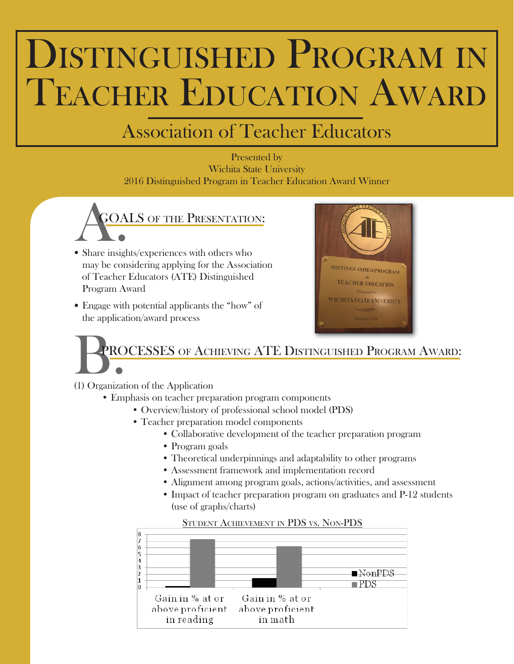# DISTINGUISHED PROGRAM IN TEACHER EDUCATION AWARD

### Association of Teacher Educators

### Presented by Wichita State University 2016 Distinguished Program in Teacher Education Award Winner



- Share insights/experiences with others who may be considering applying for the Association of Teacher Educators (ATE) Distinguished Program Award
- Engage with potential applicants the "how" of the application/award process



# ROCESSES OF ACHIEVING ATE DISTINGUISHED PROGRAM AWARD:

(1) Organization of the Application

- Emphasis on teacher preparation program components
	- Overview/history of professional school model (PDS)
	- Teacher preparation model components
		- Collaborative development of the teacher preparation program
		- Program goals
		- Theoretical underpinnings and adaptability to other programs
		- Assessment framework and implementation record
		- Alignment among program goals, actions/activities, and assessment
		- Impact of teacher preparation program on graduates and P-12 students (use of graphs/charts)



#### STUDENT ACHIEVEMENT IN PDS VS. NON-PDS